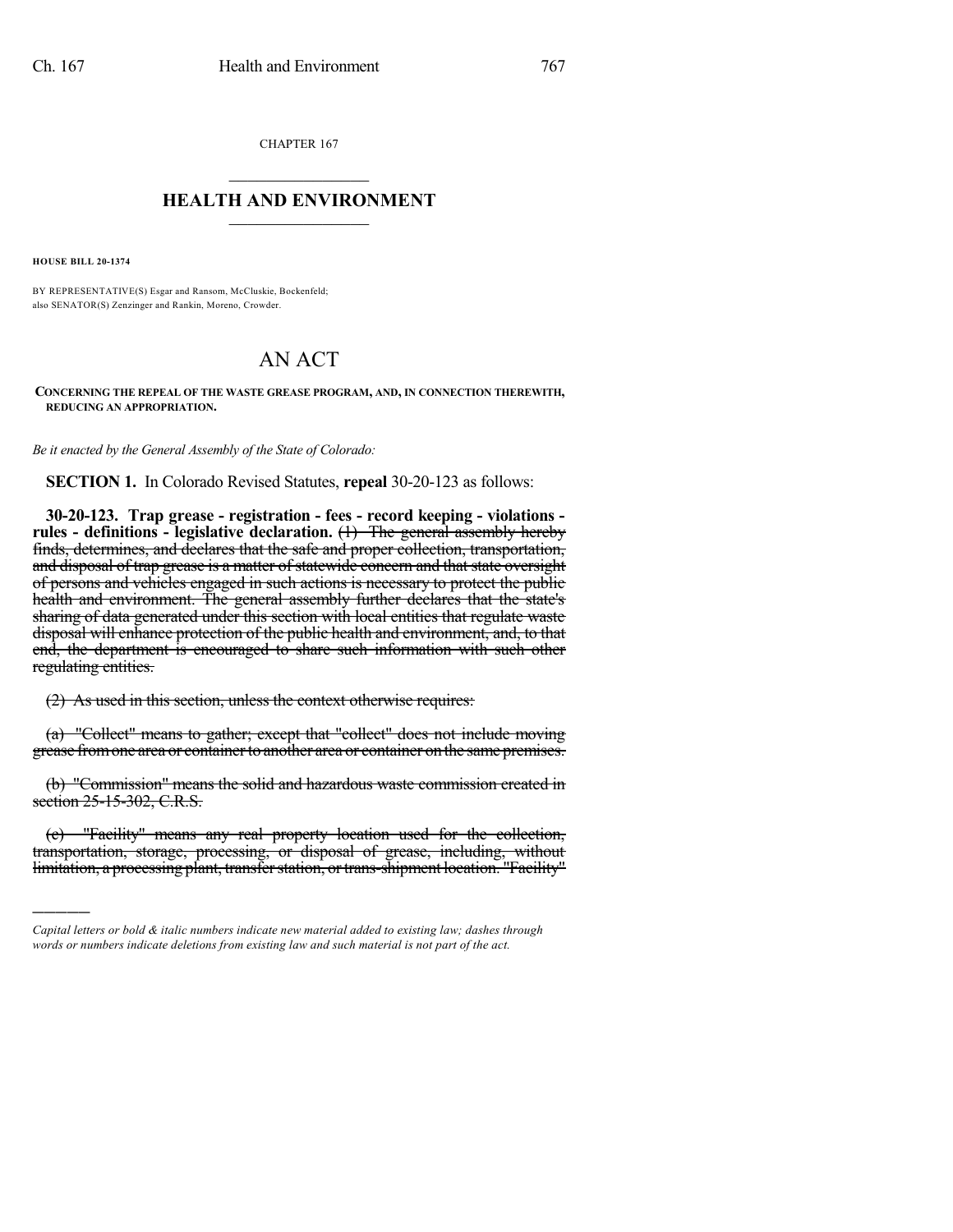CHAPTER 167  $\overline{\phantom{a}}$  . The set of the set of the set of the set of the set of the set of the set of the set of the set of the set of the set of the set of the set of the set of the set of the set of the set of the set of the set o

## **HEALTH AND ENVIRONMENT**  $\_$

**HOUSE BILL 20-1374**

)))))

BY REPRESENTATIVE(S) Esgar and Ransom, McCluskie, Bockenfeld; also SENATOR(S) Zenzinger and Rankin, Moreno, Crowder.

## AN ACT

**CONCERNING THE REPEAL OF THE WASTE GREASE PROGRAM, AND, IN CONNECTION THEREWITH, REDUCING AN APPROPRIATION.**

*Be it enacted by the General Assembly of the State of Colorado:*

**SECTION 1.** In Colorado Revised Statutes, **repeal** 30-20-123 as follows:

**30-20-123. Trap grease - registration - fees - record keeping - violations rules - definitions - legislative declaration.** (1) The general assembly hereby finds, determines, and declares that the safe and proper collection, transportation, and disposal of trap grease is a matter of statewide concern and that state oversight of persons and vehicles engaged in such actions is necessary to protect the public health and environment. The general assembly further declares that the state's sharing of data generated under this section with local entities that regulate waste disposal will enhance protection of the public health and environment, and, to that end, the department is encouraged to share such information with such other regulating entities.

(2) As used in this section, unless the context otherwise requires:

(a) "Collect" means to gather; except that "collect" does not include moving grease from one area or container to another area or container on the same premises.

(b) "Commission" means the solid and hazardous waste commission created in section 25-15-302, C.R.S.

(c) "Facility" means any real property location used for the collection, transportation, storage, processing, or disposal of grease, including, without limitation, a processing plant, transfer station, or trans-shipment location. "Facility"

*Capital letters or bold & italic numbers indicate new material added to existing law; dashes through words or numbers indicate deletions from existing law and such material is not part of the act.*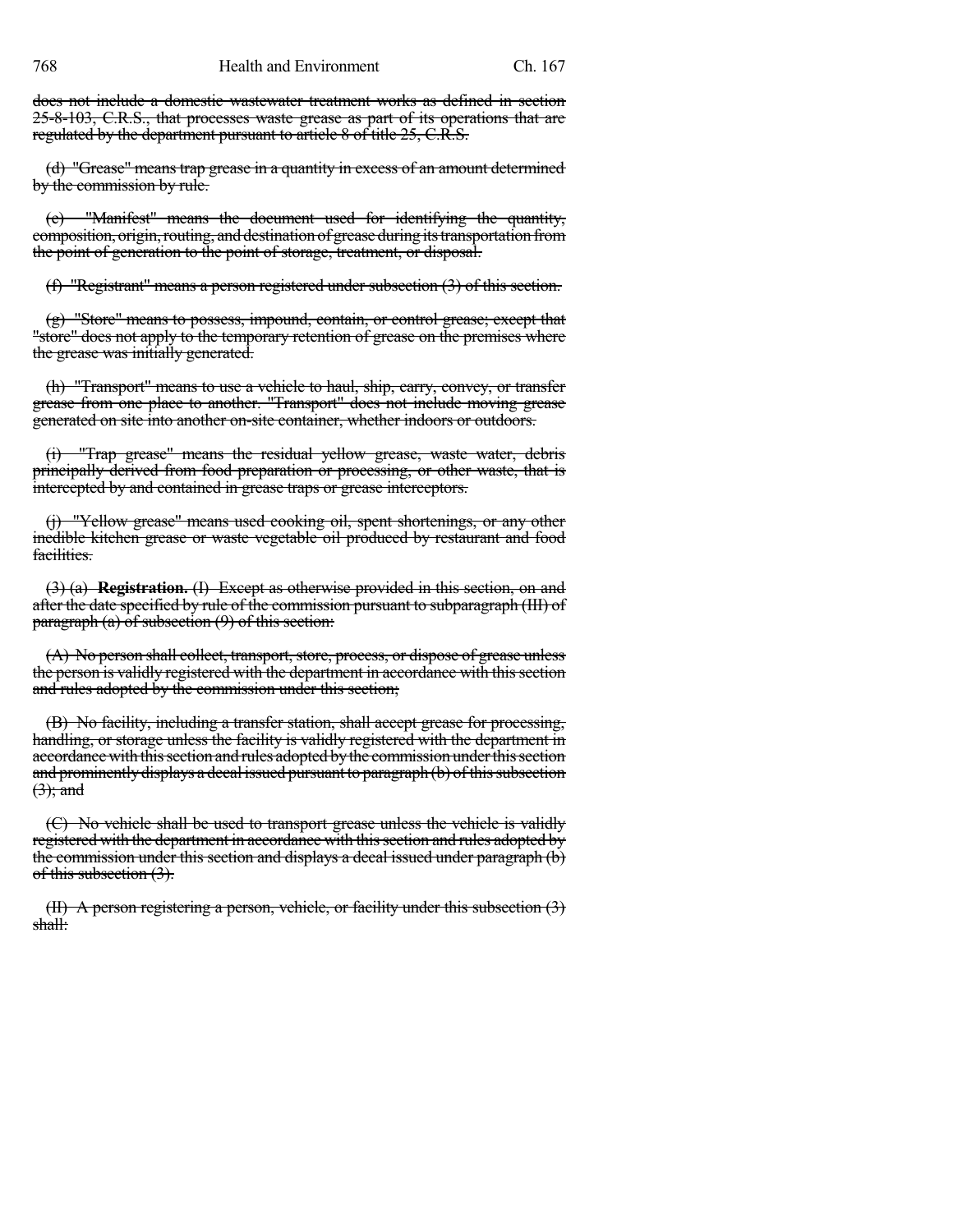does not include a domestic wastewater treatment works as defined in section 25-8-103, C.R.S., that processes waste grease as part of its operations that are regulated by the department pursuant to article 8 of title 25, C.R.S.

(d) "Grease" means trap grease in a quantity in excess of an amount determined by the commission by rule.

(e) "Manifest" means the document used for identifying the quantity, composition, origin, routing, and destination of grease during its transportation from the point of generation to the point of storage, treatment, or disposal.

(f) "Registrant" means a person registered under subsection (3) of this section.

(g) "Store" means to possess, impound, contain, or control grease; except that "store" does not apply to the temporary retention of grease on the premises where the grease was initially generated.

(h) "Transport" means to use a vehicle to haul, ship, carry, convey, or transfer grease from one place to another. "Transport" does not include moving grease generated on site into another on-site container, whether indoors or outdoors.

(i) "Trap grease" means the residual yellow grease, waste water, debris principally derived from food preparation or processing, or other waste, that is intercepted by and contained in grease traps or grease interceptors.

(j) "Yellow grease" means used cooking oil, spent shortenings, or any other inedible kitchen grease or waste vegetable oil produced by restaurant and food facilities.

(3) (a) **Registration.** (I) Except as otherwise provided in this section, on and after the date specified by rule of the commission pursuant to subparagraph (III) of  $\frac{1}{\text{paragnath}}$  (a) of subsection (9) of this section:

 $(A)$  No person shall collect, transport, store, process, or dispose of grease unless the person is validly registered with the department in accordance with this section and rules adopted by the commission under this section;

(B) No facility, including a transfer station, shall accept grease for processing, handling, or storage unless the facility is validly registered with the department in accordance with this section and rules adopted by the commission under this section and prominently displays a decal issued pursuant to paragraph (b) of this subsection  $(3)$ ; and

(C) No vehicle shall be used to transport grease unless the vehicle is validly registered with the department in accordance with thissection and rules adopted by the commission under this section and displays a decal issued under paragraph (b) of this subsection (3).

(II) A person registering a person, vehicle, or facility under this subsection (3) shall: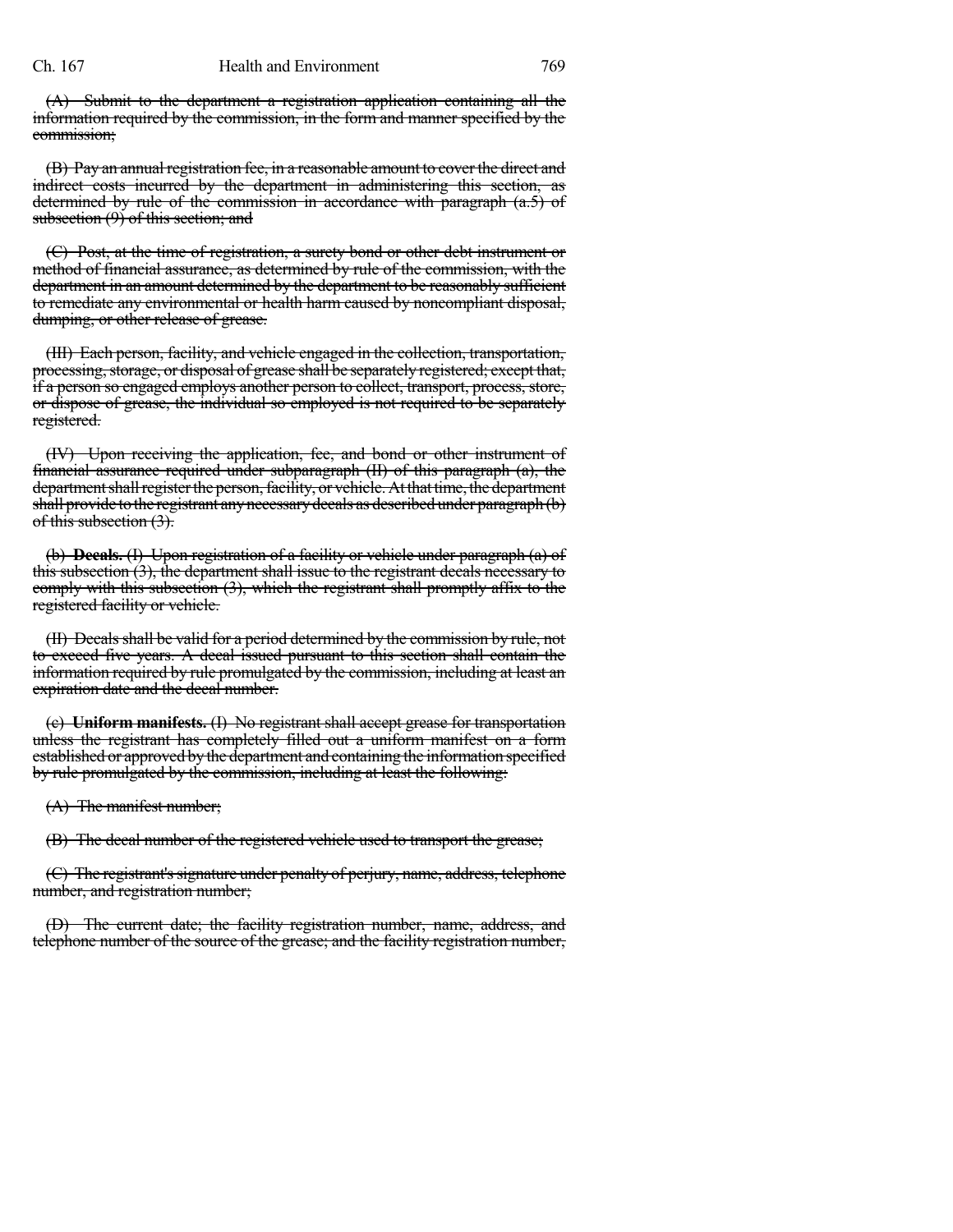(A) Submit to the department a registration application containing all the information required by the commission, in the form and manner specified by the commission;

(B) Pay an annual registration fee, in a reasonable amount to cover the direct and indirect costs incurred by the department in administering this section, as determined by rule of the commission in accordance with paragraph (a.5) of subsection  $(9)$  of this section; and

(C) Post, at the time of registration, a surety bond or other debt instrument or method of financial assurance, as determined by rule of the commission, with the department in an amount determined by the department to be reasonably sufficient to remediate any environmental or health harm caused by noncompliant disposal, dumping, or other release of grease.

(III) Each person, facility, and vehicle engaged in the collection, transportation, processing, storage, or disposal of grease shall be separately registered; except that, if a person so engaged employs another person to collect, transport, process, store, or dispose of grease, the individual so employed is not required to be separately registered.

(IV) Upon receiving the application, fee, and bond or other instrument of financial assurance required under subparagraph (II) of this paragraph (a), the department shall register the person, facility, or vehicle. At that time, the department shall provide to the registrant any necessary decals as described under paragraph (b) of this subsection (3).

(b) **Decals.** (I) Upon registration of a facility or vehicle under paragraph (a) of this subsection (3), the department shall issue to the registrant decals necessary to comply with this subsection (3), which the registrant shall promptly affix to the registered facility or vehicle.

(II) Decalsshall be valid for a period determined by the commission by rule, not to exceed five years. A decal issued pursuant to this section shall contain the information required by rule promulgated by the commission, including at least an expiration date and the decal number.

(c) **Uniform manifests.** (I) No registrant shall accept grease for transportation unless the registrant has completely filled out a uniform manifest on a form established or approved by the department and containing the information specified by rule promulgated by the commission, including at least the following:

(A) The manifest number;

(B) The decal number of the registered vehicle used to transport the grease;

(C) The registrant's signature under penalty of perjury, name, address, telephone number, and registration number;

(D) The current date; the facility registration number, name, address, and telephone number of the source of the grease; and the facility registration number,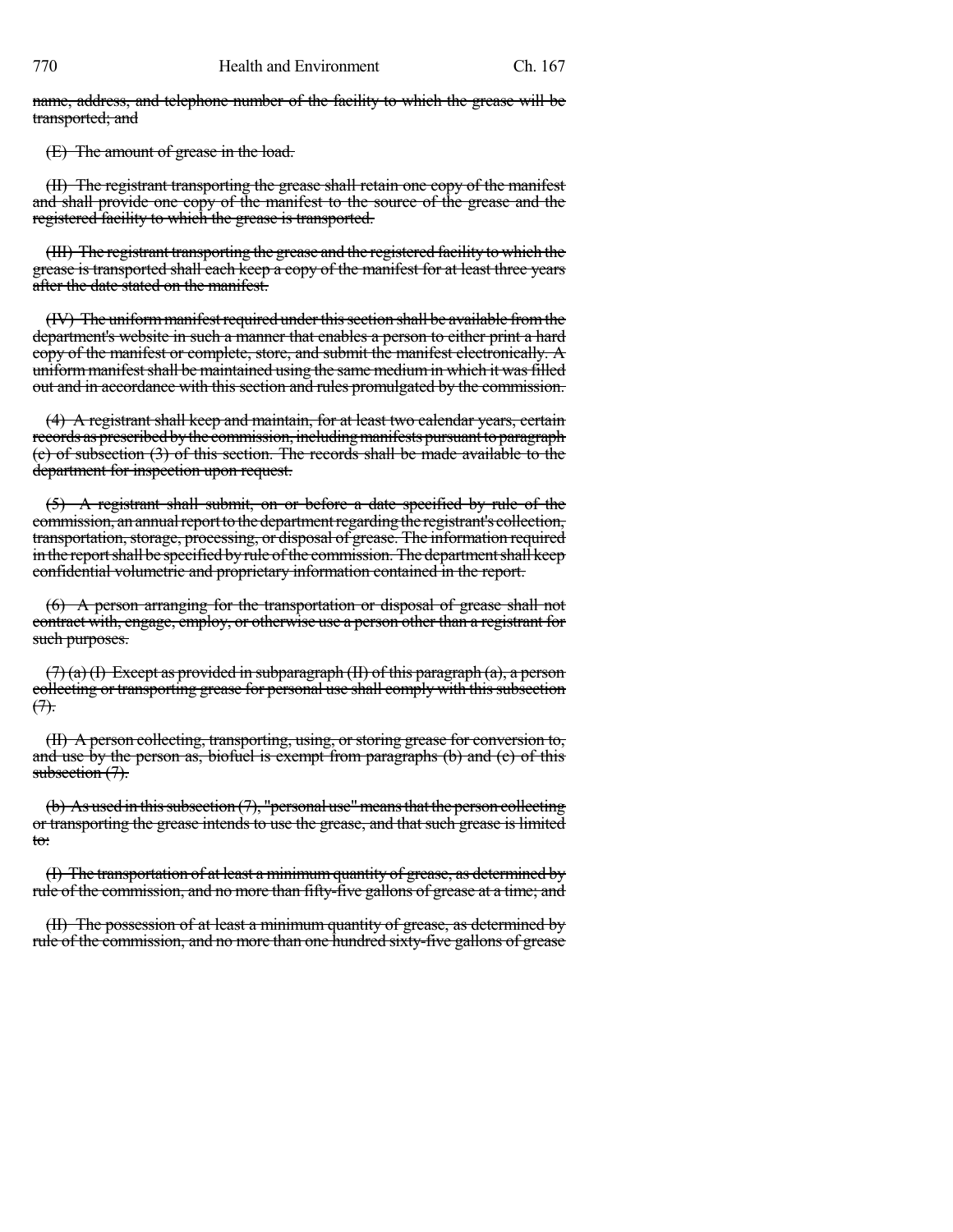name, address, and telephone number of the facility to which the grease will be transported; and

(E) The amount of grease in the load.

(II) The registrant transporting the grease shall retain one copy of the manifest and shall provide one copy of the manifest to the source of the grease and the registered facility to which the grease is transported.

(III) The registrant transporting the grease and the registered facility to which the grease is transported shall each keep a copy of the manifest for at least three years after the date stated on the manifest.

(IV) The uniform manifest required under this section shall be available from the department's website in such a manner that enables a person to either print a hard copy of the manifest or complete, store, and submit the manifest electronically. A uniform manifest shall be maintained using the same medium in which it was filled out and in accordance with this section and rules promulgated by the commission.

(4) A registrant shall keep and maintain, for at least two calendar years, certain records as prescribed by the commission, including manifests pursuant to paragraph (c) of subsection (3) of this section. The records shall be made available to the department for inspection upon request.

(5) A registrant shall submit, on or before a date specified by rule of the commission, an annual report to the department regarding the registrant's collection, transportation, storage, processing, or disposal of grease. The information required in the report shall be specified by rule of the commission. The department shall keep confidential volumetric and proprietary information contained in the report.

(6) A person arranging for the transportation or disposal of grease shall not contract with, engage, employ, or otherwise use a person other than a registrant for such purposes.

 $(7)$  (a) (I) Except as provided in subparagraph (II) of this paragraph (a), a person collecting or transporting grease for personal use shall comply with this subsection  $(7)$ .

(II) A person collecting, transporting, using, or storing grease for conversion to, and use by the person as, biofuel is exempt from paragraphs (b) and (c) of this subsection  $(7)$ .

(b) As used in this subsection  $(7)$ , "personal use" means that the person collecting or transporting the grease intends to use the grease, and that such grease is limited to:

(I) The transportation of at least a minimumquantity of grease, as determined by rule of the commission, and no more than fifty-five gallons of grease at a time; and

(II) The possession of at least a minimum quantity of grease, as determined by rule of the commission, and no more than one hundred sixty-five gallons of grease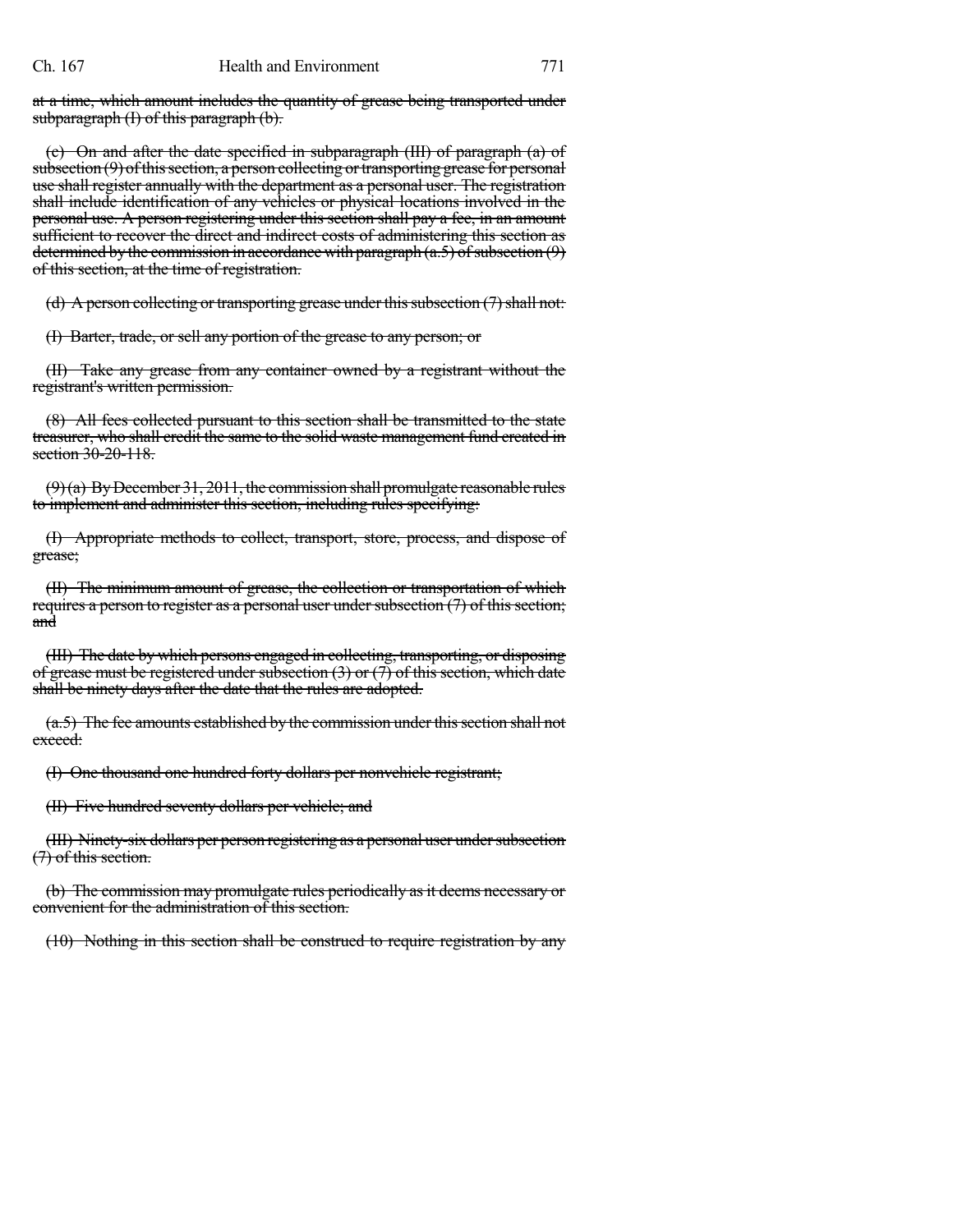at a time, which amount includes the quantity of grease being transported under subparagraph (I) of this paragraph (b).

(c) On and after the date specified in subparagraph (III) of paragraph (a) of  $subsection (9)$  of this section, a person collecting or transporting grease for personal use shall register annually with the department as a personal user. The registration shall include identification of any vehicles or physical locations involved in the personal use. A person registering under this section shall pay a fee, in an amount sufficient to recover the direct and indirect costs of administering this section as determined by the commission in accordance with paragraph  $(a.5)$  of subsection  $(9)$ of this section, at the time of registration.

(d) A person collecting or transporting grease under this subsection  $(7)$  shall not:

(I) Barter, trade, or sell any portion of the grease to any person; or

(II) Take any grease from any container owned by a registrant without the registrant's written permission.

(8) All fees collected pursuant to this section shall be transmitted to the state treasurer, who shall credit the same to the solid waste management fund created in section 30-20-118.

 $(9)$ (a) By December 31, 2011, the commission shall promulgate reasonable rules to implement and administer this section, including rules specifying:

(I) Appropriate methods to collect, transport, store, process, and dispose of grease;

(II) The minimum amount of grease, the collection or transportation of which requires a person to register as a personal user under subsection  $(7)$  of this section; and

(III) The date by which persons engaged in collecting, transporting, or disposing of grease must be registered under subsection  $(3)$  or  $(7)$  of this section, which date shall be ninety days after the date that the rules are adopted.

 $(a.5)$  The fee amounts established by the commission under this section shall not exceed:

(I) One thousand one hundred forty dollars per nonvehicle registrant;

(II) Five hundred seventy dollars per vehicle; and

(III) Ninety-six dollars per person registering as a personal user under subsection (7) of this section.

(b) The commission may promulgate rules periodically as it deems necessary or convenient for the administration of this section.

(10) Nothing in this section shall be construed to require registration by any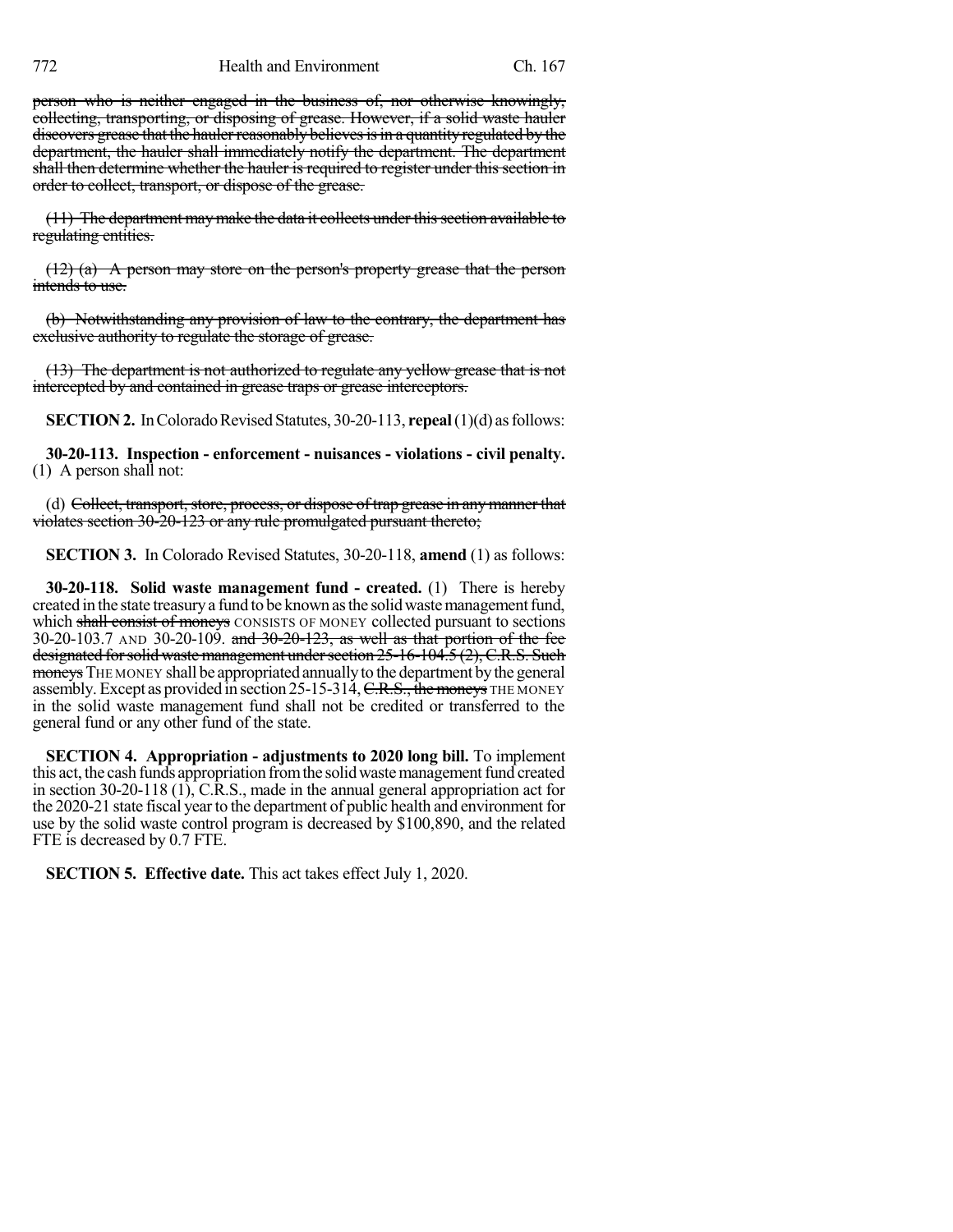person who is neither engaged in the business of, nor otherwise knowingly, collecting, transporting, or disposing of grease. However, if a solid waste hauler discovers grease that the hauler reasonably believes is in a quantity regulated by the department, the hauler shall immediately notify the department. The department shall then determine whether the hauler is required to register under this section in order to collect, transport, or dispose of the grease.

 $(11)$  The department may make the data it collects under this section available to regulating entities.

(12) (a) A person may store on the person's property grease that the person intends to use.

(b) Notwithstanding any provision of law to the contrary, the department has exclusive authority to regulate the storage of grease.

(13) The department is not authorized to regulate any yellow grease that is not intercepted by and contained in grease traps or grease interceptors.

**SECTION 2.** In Colorado Revised Statutes, 30-20-113, **repeal**(1)(d) as follows:

**30-20-113. Inspection - enforcement - nuisances - violations - civil penalty.** (1) A person shall not:

(d) Collect, transport, store, process, or dispose of trap grease in any manner that violates section 30-20-123 or any rule promulgated pursuant thereto;

**SECTION 3.** In Colorado Revised Statutes, 30-20-118, **amend** (1) as follows:

**30-20-118. Solid waste management fund - created.** (1) There is hereby created in the state treasury a fund to be known as the solid waste management fund, which shall consist of moneys CONSISTS OF MONEY collected pursuant to sections 30-20-103.7 AND 30-20-109. and 30-20-123, as well as that portion of the fee designated for solid waste management under section 25-16-104.5 (2), C.R.S. Such moneys THE MONEY shall be appropriated annually to the department by the general assembly. Except as provided in section 25-15-314, C.R.S., the moneys THE MONEY in the solid waste management fund shall not be credited or transferred to the general fund or any other fund of the state.

**SECTION 4. Appropriation - adjustments to 2020 long bill.** To implement this act, the cash funds appropriation from the solid waste management fund created in section 30-20-118 (1), C.R.S., made in the annual general appropriation act for the 2020-21 state fiscal year to the department of public health and environment for use by the solid waste control program is decreased by \$100,890, and the related FTE is decreased by 0.7 FTE.

**SECTION 5. Effective date.** This act takes effect July 1, 2020.